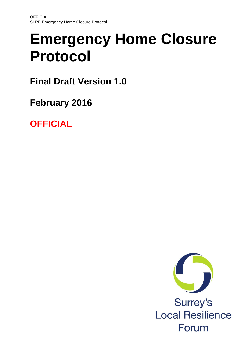# **Emergency Home Closure Protocol**

**Final Draft Version 1.0**

**February 2016**

**OFFICIAL**

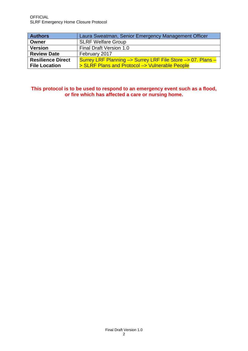| <b>Authors</b>           | Laura Sweatman, Senior Emergency Management Officer         |
|--------------------------|-------------------------------------------------------------|
| Owner                    | <b>SLRF Welfare Group</b>                                   |
| <b>Version</b>           | Final Draft Version 1.0                                     |
| <b>Review Date</b>       | February 2017                                               |
| <b>Resilience Direct</b> | Surrey LRF Planning -> Surrey LRF File Store -> 07. Plans - |
| <b>File Location</b>     | > SLRF Plans and Protocol -> Vulnerable People              |

**This protocol is to be used to respond to an emergency event such as a flood, or fire which has affected a care or nursing home.**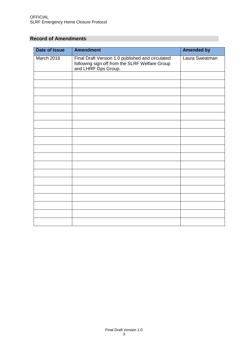# **Record of Amendments**

| <b>Date of Issue</b> | <b>Amendment</b>                                                                                                          | <b>Amended by</b> |
|----------------------|---------------------------------------------------------------------------------------------------------------------------|-------------------|
| March 2016           | Final Draft Version 1.0 published and circulated<br>following sign off from the SLRF Welfare Group<br>and LHRP Ops Group. | Laura Sweatman    |
|                      |                                                                                                                           |                   |
|                      |                                                                                                                           |                   |
|                      |                                                                                                                           |                   |
|                      |                                                                                                                           |                   |
|                      |                                                                                                                           |                   |
|                      |                                                                                                                           |                   |
|                      |                                                                                                                           |                   |
|                      |                                                                                                                           |                   |
|                      |                                                                                                                           |                   |
|                      |                                                                                                                           |                   |
|                      |                                                                                                                           |                   |
|                      |                                                                                                                           |                   |
|                      |                                                                                                                           |                   |
|                      |                                                                                                                           |                   |
|                      |                                                                                                                           |                   |
|                      |                                                                                                                           |                   |
|                      |                                                                                                                           |                   |
|                      |                                                                                                                           |                   |
|                      |                                                                                                                           |                   |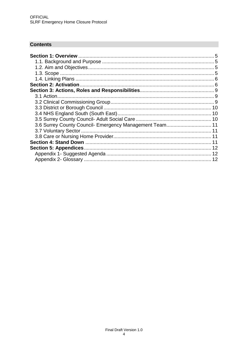# **Contents**

| 3.6 Surrey County Council- Emergency Management Team 11 |  |
|---------------------------------------------------------|--|
|                                                         |  |
|                                                         |  |
|                                                         |  |
|                                                         |  |
|                                                         |  |
|                                                         |  |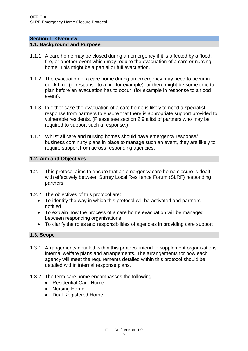#### <span id="page-4-0"></span>**Section 1: Overview**

#### <span id="page-4-1"></span>**1.1. Background and Purpose**

- 1.1.1 A care home may be closed during an emergency if it is affected by a flood, fire, or another event which may require the evacuation of a care or nursing home. This might be a partial or full evacuation.
- 1.1.2 The evacuation of a care home during an emergency may need to occur in quick time (in response to a fire for example), or there might be some time to plan before an evacuation has to occur, (for example in response to a flood event).
- 1.1.3 In either case the evacuation of a care home is likely to need a specialist response from partners to ensure that there is appropriate support provided to vulnerable residents. (Please see section 2.9 a list of partners who may be required to support such a response.)
- 1.1.4 Whilst all care and nursing homes should have emergency response/ business continuity plans in place to manage such an event, they are likely to require support from across responding agencies.

## <span id="page-4-2"></span>**1.2. Aim and Objectives**

- 1.2.1 This protocol aims to ensure that an emergency care home closure is dealt with effectively between Surrey Local Resilience Forum (SLRF) responding partners.
- 1.2.2 The objectives of this protocol are:
	- To identify the way in which this protocol will be activated and partners notified
	- To explain how the process of a care home evacuation will be managed between responding organisations
	- To clarify the roles and responsibilities of agencies in providing care support

# <span id="page-4-3"></span>**1.3. Scope**

- 1.3.1 Arrangements detailed within this protocol intend to supplement organisations internal welfare plans and arrangements. The arrangements for how each agency will meet the requirements detailed within this protocol should be detailed within internal response plans.
- 1.3.2 The term care home encompasses the following:
	- Residential Care Home
	- Nursing Home
	- Dual Registered Home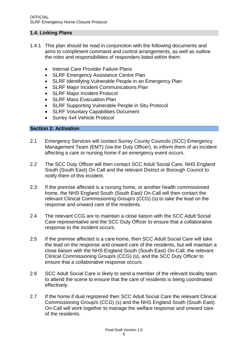## <span id="page-5-0"></span>**1.4. Linking Plans**

- 1.4.1 This plan should be read in conjunction with the following documents and aims to compliment command and control arrangements, as well as outline the roles and responsibilities of responders listed within them:
	- Internal Care Provider Failure Plans
	- SLRF Emergency Assistance Centre Plan
	- SLRF Identifying Vulnerable People in an Emergency Plan
	- SLRF Major Incident Communications Plan
	- SLRF Major Incident Protocol
	- SLRF Mass Evacuation Plan
	- SLRF Supporting Vulnerable People in Situ Protocol
	- SLRF Voluntary Capabilities Document
	- Surrey 4x4 Vehicle Protocol

## <span id="page-5-1"></span>**Section 2: Activation**

- 2.1 Emergency Services will contact Surrey County Councils (SCC) Emergency Management Team (EMT) (via the Duty Officer), to inform them of an incident affecting a care or nursing home if an emergency event occurs.
- 2.2 The SCC Duty Officer will then contact SCC Adult Social Care, NHS England South (South East) On Call and the relevant District or Borough Council to notify them of this incident.
- 2.3 If the premise affected is a nursing home, or another health commissioned home, the NHS England South (South East) On-Call will then contact the relevant Clinical Commissioning Group/s (CCG) (s) to take the lead on the response and onward care of the residents.
- 2.4 The relevant CCG are to maintain a close liaison with the SCC Adult Social Care representative and the SCC Duty Officer to ensure that a collaborative response to the incident occurs.
- 2.5 If the premise affected is a care home, then SCC Adult Social Care will take the lead on the response and onward care of the residents, but will maintain a close liaison with the NHS England South (South East) On-Call, the relevant Clinical Commissioning Group/s (CCG) (s), and the SCC Duty Officer to ensure that a collaborative response occurs.
- 2.6 SCC Adult Social Care is likely to send a member of the relevant locality team to attend the scene to ensure that the care of residents is being coordinated effectively.
- 2.7 If the home if dual registered then SCC Adult Social Care the relevant Clinical Commissioning Group/s (CCG) (s) and the NHS England South (South East) On-Call will work together to manage the welfare response and onward care of the residents.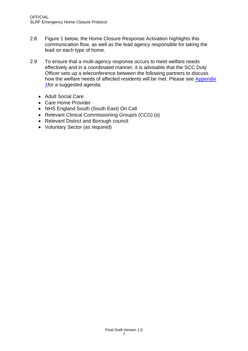- 2.8 Figure 1 below, the Home Closure Response Activation highlights this communication flow, as well as the lead agency responsible for taking the lead on each type of home.
- 2.9 To ensure that a multi-agency response occurs to meet welfare needs effectively and in a coordinated manner, it is advisable that the SCC Duty Officer sets up a teleconference between the following partners to discuss how the welfare needs of affected residents will be met. Please see Appendix [1f](#page-11-1)or a suggested agenda.
	- Adult Social Care
	- Care Home Provider
	- NHS England South (South East) On Call
	- Relevant Clinical Commissioning Group/s (CCG) (s)
	- Relevant District and Borough council
	- Voluntary Sector (as required)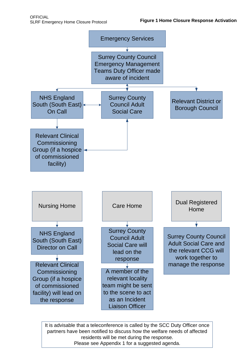

partners have been notified to discuss how the welfare needs of affected 8 residents will be met during the response. It is advisable that a teleconference is called by the SCC Duty Officer once Please see Appendix 1 for a suggested agenda.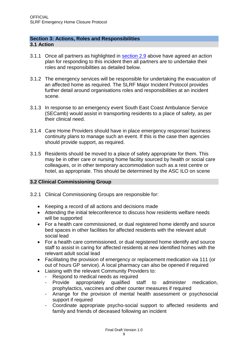#### <span id="page-8-1"></span><span id="page-8-0"></span>**Section 3: Actions, Roles and Responsibilities 3.1 Action**

- 3.1.1 Once all partners as highlighted in [section 2.9](#page-5-1) above have agreed an action plan for responding to this incident then all partners are to undertake their roles and responsibilities as detailed below.
- 3.1.2 The emergency services will be responsible for undertaking the evacuation of an affected home as required. The SLRF Major Incident Protocol provides further detail around organisations roles and responsibilities at an incident scene.
- 3.1.3 In response to an emergency event South East Coast Ambulance Service (SECamb) would assist in transporting residents to a place of safety, as per their clinical need.
- 3.1.4 Care Home Providers should have in place emergency response/ business continuity plans to manage such an event. If this is the case then agencies should provide support, as required.
- 3.1.5 Residents should be moved to a place of safety appropriate for them. This may be in other care or nursing home facility sourced by health or social care colleagues, or in other temporary accommodation such as a rest centre or hotel, as appropriate. This should be determined by the ASC ILO on scene

# <span id="page-8-2"></span>**3.2 Clinical Commissioning Group**

- 3.2.1 Clinical Commissioning Groups are responsible for:
	- Keeping a record of all actions and decisions made
	- Attending the initial teleconference to discuss how residents welfare needs will be supported
	- For a health care commissioned, or dual registered home identify and source bed spaces in other facilities for affected residents with the relevant adult social lead
	- For a health care commissioned, or dual registered home identify and source staff to assist in caring for affected residents at new identified homes with the relevant adult social lead
	- Facilitating the provision of emergency or replacement medication via 111 (or out of hours GP service). A local pharmacy can also be opened if required
	- Liaising with the relevant Community Providers to:
		- Respond to medical needs as required
		- Provide appropriately qualified staff to administer medication, prophylactics, vaccines and other counter measures if required
		- Arrange for the provision of mental health assessment or psychosocial support if required
		- Coordinate appropriate psycho-social support to affected residents and family and friends of deceased following an incident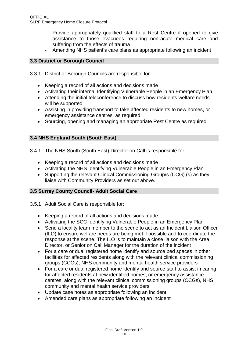- Provide appropriately qualified staff to a Rest Centre if opened to give assistance to those evacuees requiring non-acute medical care and suffering from the effects of trauma
- Amending NHS patient's care plans as appropriate following an incident

# <span id="page-9-0"></span>**3.3 District or Borough Council**

- 3.3.1 District or Borough Councils are responsible for:
	- Keeping a record of all actions and decisions made
	- Activating their internal Identifying Vulnerable People in an Emergency Plan
	- Attending the initial teleconference to discuss how residents welfare needs will be supported
	- Assisting in providing transport to take affected residents to new homes, or emergency assistance centres, as required
	- Sourcing, opening and managing an appropriate Rest Centre as required

# <span id="page-9-1"></span>**3.4 NHS England South (South East)**

- 3.4.1 The NHS South (South East) Director on Call is responsible for:
	- Keeping a record of all actions and decisions made
	- Activating the NHS Identifying Vulnerable People in an Emergency Plan
	- Supporting the relevant Clinical Commissioning Group/s (CCG) (s) as they liaise with Community Providers as set out above.

## <span id="page-9-2"></span>**3.5 Surrey County Council- Adult Social Care**

- 3.5.1 Adult Social Care is responsible for:
	- Keeping a record of all actions and decisions made
	- Activating the SCC Identifying Vulnerable People in an Emergency Plan
	- Send a locality team member to the scene to act as an Incident Liaison Officer (ILO) to ensure welfare needs are being met if possible and to coordinate the response at the scene. The ILO is to maintain a close liaison with the Area Director, or Senior on Call Manager for the duration of the incident
	- For a care or dual registered home identify and source bed spaces in other facilities for affected residents along with the relevant clinical commissioning groups (CCGs), NHS community and mental health service providers
	- For a care or dual registered home identify and source staff to assist in caring for affected residents at new identified homes, or emergency assistance centres, along with the relevant clinical commissioning groups (CCGs), NHS community and mental health service providers
	- Update case notes as appropriate following an incident
	- Amended care plans as appropriate following an incident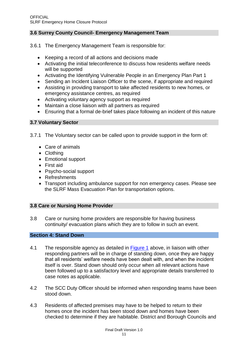## <span id="page-10-0"></span>**3.6 Surrey County Council- Emergency Management Team**

3.6.1 The Emergency Management Team is responsible for:

- Keeping a record of all actions and decisions made
- Activating the initial teleconference to discuss how residents welfare needs will be supported
- Activating the Identifying Vulnerable People in an Emergency Plan Part 1
- Sending an Incident Liaison Officer to the scene, if appropriate and required
- Assisting in providing transport to take affected residents to new homes, or emergency assistance centres, as required
- Activating voluntary agency support as required
- Maintain a close liaison with all partners as required
- Ensuring that a formal de-brief takes place following an incident of this nature

## <span id="page-10-1"></span>**3.7 Voluntary Sector**

3.7.1 The Voluntary sector can be called upon to provide support in the form of:

- Care of animals
- Clothing
- Emotional support
- First aid
- Psycho-social support
- Refreshments
- Transport including ambulance support for non emergency cases. Please see the SLRF Mass Evacuation Plan for transportation options.

## <span id="page-10-2"></span>**3.8 Care or Nursing Home Provider**

3.8 Care or nursing home providers are responsible for having business continuity/ evacuation plans which they are to follow in such an event.

## <span id="page-10-3"></span>**Section 4: Stand Down**

- 4.1 The responsible agency as detailed in [Figure 1](#page-5-1) above, in liaison with other responding partners will be in charge of standing down, once they are happy that all residents' welfare needs have been dealt with, and when the incident itself is over. Stand down should only occur when all relevant actions have been followed up to a satisfactory level and appropriate details transferred to case notes as applicable.
- 4.2 The SCC Duty Officer should be informed when responding teams have been stood down.
- 4.3 Residents of affected premises may have to be helped to return to their homes once the incident has been stood down and homes have been checked to determine if they are habitable. District and Borough Councils and